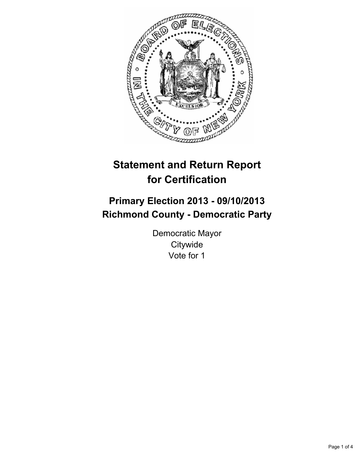

# **Statement and Return Report for Certification**

## **Primary Election 2013 - 09/10/2013 Richmond County - Democratic Party**

Democratic Mayor **Citywide** Vote for 1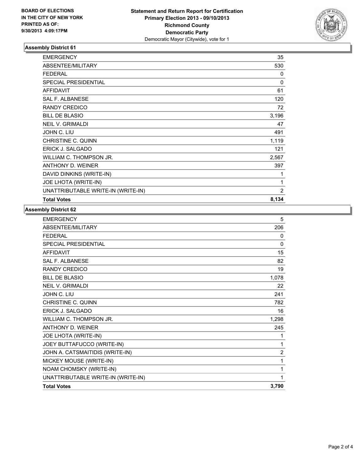

## **Assembly District 61**

| <b>EMERGENCY</b>                   | 35             |
|------------------------------------|----------------|
| ABSENTEE/MILITARY                  | 530            |
| <b>FEDERAL</b>                     | 0              |
| <b>SPECIAL PRESIDENTIAL</b>        | 0              |
| <b>AFFIDAVIT</b>                   | 61             |
| <b>SAL F. ALBANESE</b>             | 120            |
| <b>RANDY CREDICO</b>               | 72             |
| <b>BILL DE BLASIO</b>              | 3,196          |
| <b>NEIL V. GRIMALDI</b>            | 47             |
| JOHN C. LIU                        | 491            |
| CHRISTINE C. QUINN                 | 1,119          |
| ERICK J. SALGADO                   | 121            |
| WILLIAM C. THOMPSON JR.            | 2,567          |
| ANTHONY D. WEINER                  | 397            |
| DAVID DINKINS (WRITE-IN)           | 1              |
| JOE LHOTA (WRITE-IN)               | 1              |
| UNATTRIBUTABLE WRITE-IN (WRITE-IN) | $\overline{2}$ |
| <b>Total Votes</b>                 | 8,134          |

#### **Assembly District 62**

| <b>EMERGENCY</b>                   | 5              |
|------------------------------------|----------------|
| ABSENTEE/MILITARY                  | 206            |
| <b>FFDFRAI</b>                     | 0              |
| <b>SPECIAL PRESIDENTIAL</b>        | $\mathbf{0}$   |
| <b>AFFIDAVIT</b>                   | 15             |
| <b>SAL F. ALBANESE</b>             | 82             |
| <b>RANDY CREDICO</b>               | 19             |
| <b>BILL DE BLASIO</b>              | 1,078          |
| <b>NEIL V. GRIMALDI</b>            | 22             |
| JOHN C. LIU                        | 241            |
| <b>CHRISTINE C. QUINN</b>          | 782            |
| <b>ERICK J. SALGADO</b>            | 16             |
| WILLIAM C. THOMPSON JR.            | 1,298          |
| <b>ANTHONY D. WEINER</b>           | 245            |
| JOE LHOTA (WRITE-IN)               | 1              |
| JOEY BUTTAFUCCO (WRITE-IN)         | 1              |
| JOHN A. CATSMAITIDIS (WRITE-IN)    | $\overline{2}$ |
| MICKEY MOUSE (WRITE-IN)            | 1              |
| NOAM CHOMSKY (WRITE-IN)            | 1              |
| UNATTRIBUTABLE WRITE-IN (WRITE-IN) | 1              |
| <b>Total Votes</b>                 | 3,790          |
|                                    |                |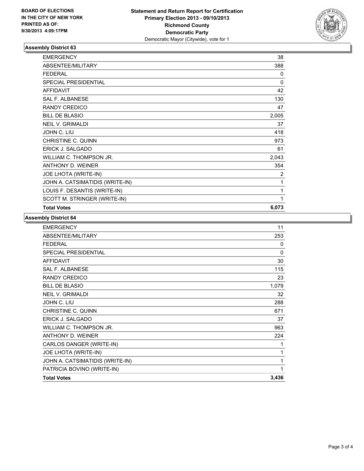

## **Assembly District 63**

| <b>EMERGENCY</b>                | 38           |
|---------------------------------|--------------|
| ABSENTEE/MILITARY               | 388          |
| <b>FEDERAL</b>                  | $\mathbf{0}$ |
| SPECIAL PRESIDENTIAL            | $\Omega$     |
| <b>AFFIDAVIT</b>                | 42           |
| SAL F. ALBANESE                 | 130          |
| <b>RANDY CREDICO</b>            | 47           |
| <b>BILL DE BLASIO</b>           | 2,005        |
| <b>NEIL V. GRIMALDI</b>         | 37           |
| JOHN C. LIU                     | 418          |
| <b>CHRISTINE C. QUINN</b>       | 973          |
| <b>ERICK J. SALGADO</b>         | 61           |
| WILLIAM C. THOMPSON JR.         | 2,043        |
| <b>ANTHONY D. WEINER</b>        | 354          |
| JOE LHOTA (WRITE-IN)            | 2            |
| JOHN A. CATSIMATIDIS (WRITE-IN) | 1            |
| LOUIS F. DESANTIS (WRITE-IN)    | 1            |
| SCOTT M. STRINGER (WRITE-IN)    | 1            |
| <b>Total Votes</b>              | 6,073        |

### **Assembly District 64**

| 11       |
|----------|
| 253      |
| 0        |
| $\Omega$ |
| 30       |
| 115      |
| 23       |
| 1,079    |
| 32       |
| 288      |
| 671      |
| 37       |
| 963      |
| 224      |
| 1        |
| 1        |
| 1        |
| 1        |
| 3,436    |
|          |